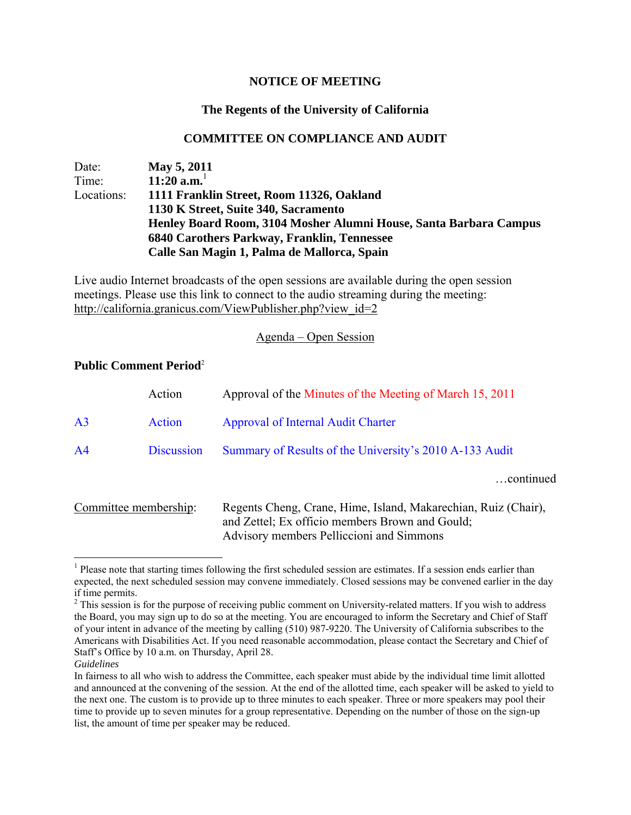## **NOTICE OF MEETING**

# **The Regents of the University of California**

## **COMMITTEE ON COMPLIANCE AND AUDIT**

Date: **May 5, 2011** Time: **11:20 a.m.**<sup>1</sup> Locations: **1111 Franklin Street, Room 11326, Oakland 1130 K Street, Suite 340, Sacramento Henley Board Room, 3104 Mosher Alumni House, Santa Barbara Campus 6840 Carothers Parkway, Franklin, Tennessee Calle San Magin 1, Palma de Mallorca, Spain** 

Live audio Internet broadcasts of the open sessions are available during the open session meetings. Please use this link to connect to the audio streaming during the meeting: http://california.granicus.com/ViewPublisher.php?view\_id=2

## Agenda – Open Session

## **Public Comment Period**<sup>2</sup>

|                       | Action            | Approval of the Minutes of the Meeting of March 15, 2011       |
|-----------------------|-------------------|----------------------------------------------------------------|
| A <sub>3</sub>        | Action            | <b>Approval of Internal Audit Charter</b>                      |
| A <sub>4</sub>        | <b>Discussion</b> | Summary of Results of the University's 2010 A-133 Audit        |
|                       |                   | continued                                                      |
| Committee membership: |                   | Regents Cheng, Crane, Hime, Island, Makarechian, Ruiz (Chair), |

and Zettel; Ex officio members Brown and Gould; Advisory members Pelliccioni and Simmons

 $\overline{a}$ <sup>1</sup> Please note that starting times following the first scheduled session are estimates. If a session ends earlier than expected, the next scheduled session may convene immediately. Closed sessions may be convened earlier in the day if time permits.

 $2$  This session is for the purpose of receiving public comment on University-related matters. If you wish to address the Board, you may sign up to do so at the meeting. You are encouraged to inform the Secretary and Chief of Staff of your intent in advance of the meeting by calling (510) 987-9220. The University of California subscribes to the Americans with Disabilities Act. If you need reasonable accommodation, please contact the Secretary and Chief of Staff's Office by 10 a.m. on Thursday, April 28.

*Guidelines*

In fairness to all who wish to address the Committee, each speaker must abide by the individual time limit allotted and announced at the convening of the session. At the end of the allotted time, each speaker will be asked to yield to the next one. The custom is to provide up to three minutes to each speaker. Three or more speakers may pool their time to provide up to seven minutes for a group representative. Depending on the number of those on the sign-up list, the amount of time per speaker may be reduced.